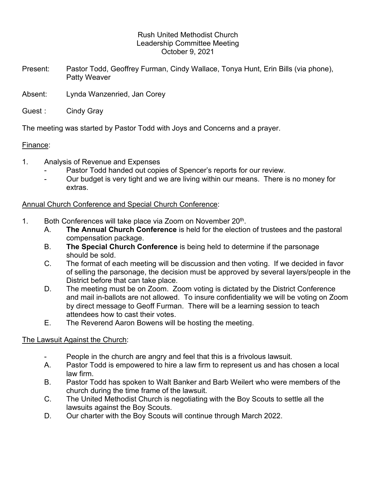### Rush United Methodist Church Leadership Committee Meeting October 9, 2021

- Present: Pastor Todd, Geoffrey Furman, Cindy Wallace, Tonya Hunt, Erin Bills (via phone), Patty Weaver
- Absent: Lynda Wanzenried, Jan Corey
- Guest : Cindy Gray

The meeting was started by Pastor Todd with Joys and Concerns and a prayer.

## Finance:

- 1. Analysis of Revenue and Expenses
	- Pastor Todd handed out copies of Spencer's reports for our review.
	- Our budget is very tight and we are living within our means. There is no money for extras.

## Annual Church Conference and Special Church Conference:

- 1. Both Conferences will take place via Zoom on November 20<sup>th</sup>.
	- . A. The Annual Church Conference is held for the election of trustees and the pastoral compensation package.
	- B. The Special Church Conference is being held to determine if the parsonage should be sold.
	- C. The format of each meeting will be discussion and then voting. If we decided in favor of selling the parsonage, the decision must be approved by several layers/people in the District before that can take place.
	- D. The meeting must be on Zoom. Zoom voting is dictated by the District Conference and mail in-ballots are not allowed. To insure confidentiality we will be voting on Zoom by direct message to Geoff Furman. There will be a learning session to teach attendees how to cast their votes.
	- E. The Reverend Aaron Bowens will be hosting the meeting.

# The Lawsuit Against the Church:

- People in the church are angry and feel that this is a frivolous lawsuit.
- A. Pastor Todd is empowered to hire a law firm to represent us and has chosen a local law firm.
- B. Pastor Todd has spoken to Walt Banker and Barb Weilert who were members of the church during the time frame of the lawsuit.
- C. The United Methodist Church is negotiating with the Boy Scouts to settle all the lawsuits against the Boy Scouts.
- D. Our charter with the Boy Scouts will continue through March 2022.